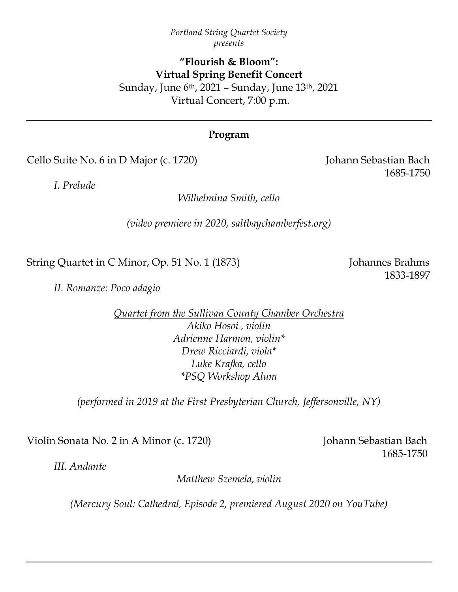### *Portland String Quartet Society presents*

# **"Flourish & Bloom": Virtual Spring Benefit Concert** Sunday, June 6th, 2021 – Sunday, June 13th, 2021 Virtual Concert, 7:00 p.m.

# **Program**

Cello Suite No. 6 in D Major (c. 1720) Johann Sebastian Bach

*I. Prelude*

*Wilhelmina Smith, cello*

*(video premiere in 2020, saltbaychamberfest.org)*

String Quartet in C Minor, Op. 51 No. 1 (1873) Johannes Brahms

1833-1897

*II. Romanze: Poco adagio*

*Quartet from the Sullivan County Chamber Orchestra Akiko Hosoi , violin Adrienne Harmon, violin\* Drew Ricciardi, viola\* Luke Krafka, cello \*PSQ Workshop Alum*

*(performed in 2019 at the First Presbyterian Church, Jeffersonville, NY)*

Violin Sonata No. 2 in A Minor (c. 1720) Johann Sebastian Bach

1685-1750

*III. Andante*

*Matthew Szemela, violin*

*(Mercury Soul: Cathedral, Episode 2, premiered August 2020 on YouTube)*

1685-1750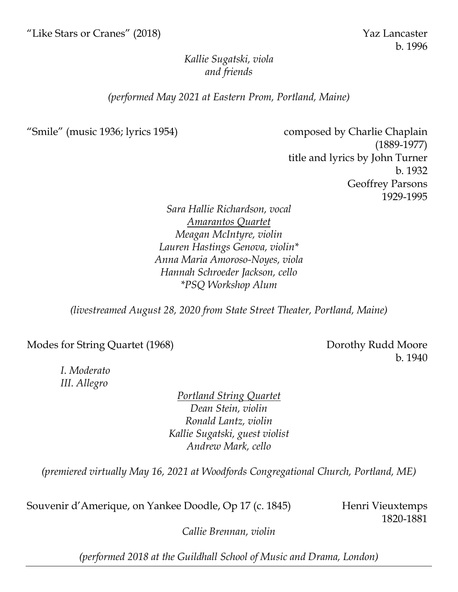# *Kallie Sugatski, viola and friends*

## *(performed May 2021 at Eastern Prom, Portland, Maine)*

"Smile" (music 1936; lyrics 1954) composed by Charlie Chaplain (1889-1977) title and lyrics by John Turner b. 1932 Geoffrey Parsons 1929-1995

> *Sara Hallie Richardson, vocal Amarantos Quartet Meagan McIntyre, violin Lauren Hastings Genova, violin\* Anna Maria Amoroso-Noyes, viola Hannah Schroeder Jackson, cello \*PSQ Workshop Alum*

*(livestreamed August 28, 2020 from State Street Theater, Portland, Maine)*

Modes for String Quartet (1968) Dorothy Rudd Moore

b. 1940

*I. Moderato III. Allegro*

> *Portland String Quartet Dean Stein, violin Ronald Lantz, violin Kallie Sugatski, guest violist Andrew Mark, cello*

*(premiered virtually May 16, 2021 at Woodfords Congregational Church, Portland, ME)*

Souvenir d'Amerique, on Yankee Doodle, Op 17 (c. 1845) Henri Vieuxtemps

1820-1881

*Callie Brennan, violin*

*(performed 2018 at the Guildhall School of Music and Drama, London)*